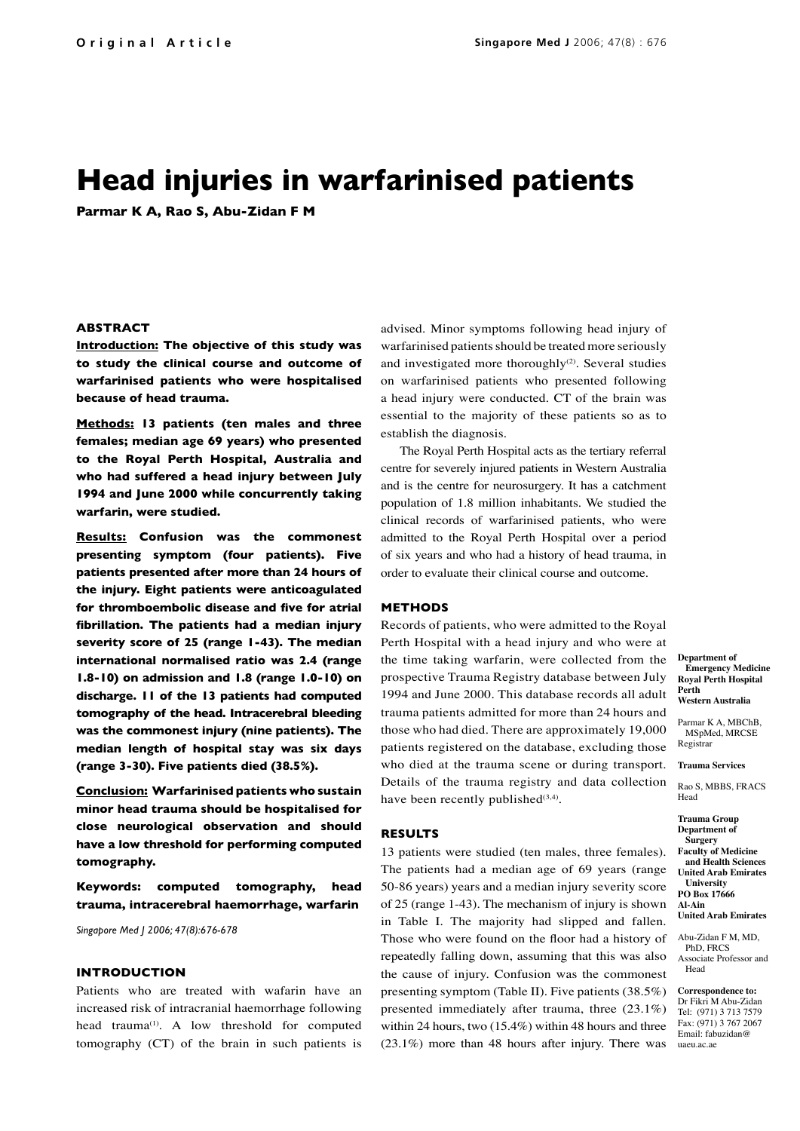# **Head injuries in warfarinised patients**

**Parmar K A, Rao S, Abu-Zidan F M**

### **ABSTRACT**

**Introduction: The objective of this study was to study the clinical course and outcome of warfarinised patients who were hospitalised because of head trauma.**

**Methods: 13 patients (ten males and three females; median age 69 years) who presented to the Royal Perth Hospital, Australia and who had suffered a head injury between July 1994 and June 2000 while concurrently taking warfarin, were studied.**

**Results: Confusion was the commonest presenting symptom (four patients). Five patients presented after more than 24 hours of the injury. Eight patients were anticoagulated for thromboembolic disease and five for atrial fibrillation. The patients had a median injury severity score of 25 (range 1-43). The median international normalised ratio was 2.4 (range 1.8-10) on admission and 1.8 (range 1.0-10) on discharge. 11 of the 13 patients had computed tomography of the head. Intracerebral bleeding was the commonest injury (nine patients). The median length of hospital stay was six days (range 3-30). Five patients died (38.5%).**

**Conclusion: Warfarinised patients who sustain minor head trauma should be hospitalised for close neurological observation and should have a low threshold for performing computed tomography.**

**Keywords: computed tomography, head trauma, intracerebral haemorrhage, warfarin**

*Singapore Med J 2006; 47(8):676-678*

### **INTRODUCTION**

Patients who are treated with wafarin have an increased risk of intracranial haemorrhage following head trauma<sup>(1)</sup>. A low threshold for computed tomography (CT) of the brain in such patients is advised. Minor symptoms following head injury of warfarinised patients should be treated more seriously and investigated more thoroughly<sup>(2)</sup>. Several studies on warfarinised patients who presented following a head injury were conducted. CT of the brain was essential to the majority of these patients so as to establish the diagnosis.

The Royal Perth Hospital acts as the tertiary referral centre for severely injured patients in Western Australia and is the centre for neurosurgery. It has a catchment population of 1.8 million inhabitants. We studied the clinical records of warfarinised patients, who were admitted to the Royal Perth Hospital over a period of six years and who had a history of head trauma, in order to evaluate their clinical course and outcome.

### **METHODS**

Records of patients, who were admitted to the Royal Perth Hospital with a head injury and who were at the time taking warfarin, were collected from the prospective Trauma Registry database between July 1994 and June 2000. This database records all adult trauma patients admitted for more than 24 hours and those who had died. There are approximately 19,000 patients registered on the database, excluding those who died at the trauma scene or during transport. Details of the trauma registry and data collection have been recently published $(3,4)$ .

### **RESULTS**

13 patients were studied (ten males, three females). The patients had a median age of 69 years (range 50-86 years) years and a median injury severity score of 25 (range 1-43). The mechanism of injury is shown in Table I. The majority had slipped and fallen. Those who were found on the floor had a history of repeatedly falling down, assuming that this was also the cause of injury. Confusion was the commonest presenting symptom (Table II). Five patients (38.5%) presented immediately after trauma, three (23.1%) within 24 hours, two (15.4%) within 48 hours and three (23.1%) more than 48 hours after injury. There was

**Department of Emergency Medicine Royal Perth Hospital Perth Western Australia**

Parmar K A, MBChB MSpMed, MRCSE Registrar

**Trauma Services**

Rao S, MBBS, FRACS Head

**Trauma Group Department of Surgery Faculty of Medicine and Health Sciences United Arab Emirates University PO Box 17666 Al-Ain United Arab Emirates**

Abu-Zidan F M, MD, PhD, FRCS Associate Professor and Head

**Correspondence to:** Dr Fikri M Abu-Zidan Tel: (971) 3 713 7579 Fax: (971) 3 767 2067 Email: fabuzidan@ uaeu.ac.ae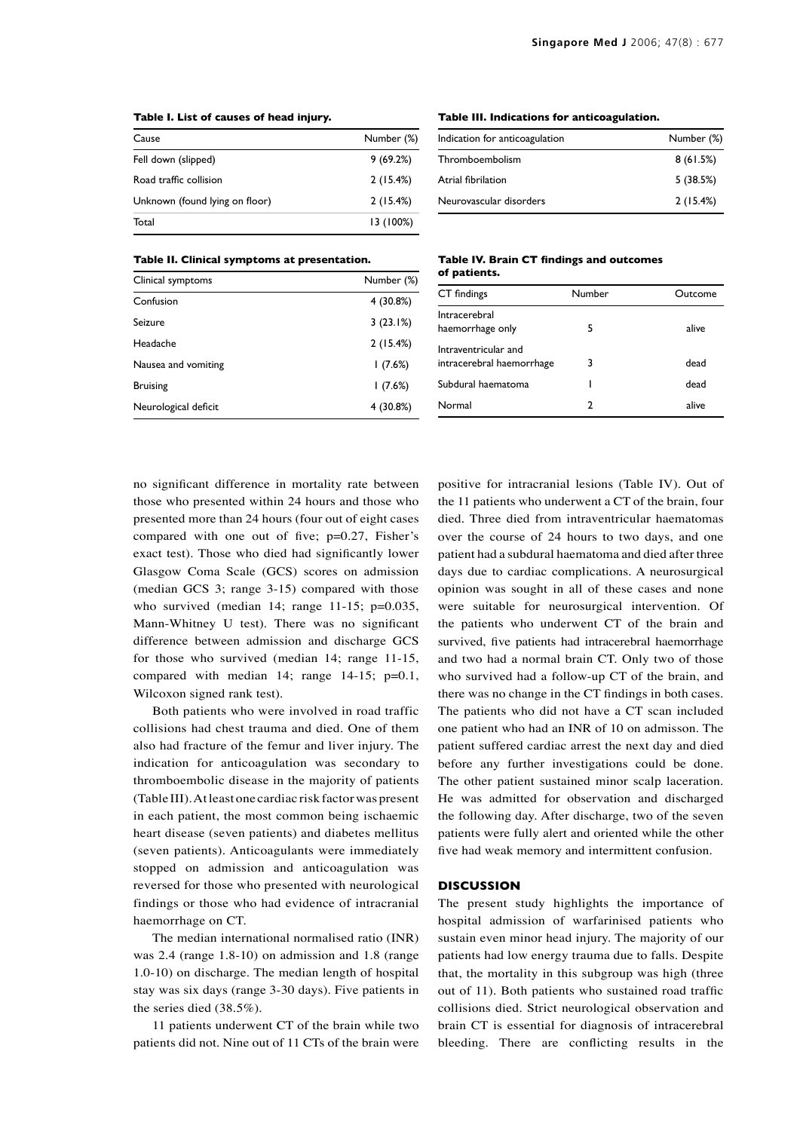| Cause                          | Number (%) |
|--------------------------------|------------|
| Fell down (slipped)            | 9(69.2%)   |
| Road traffic collision         | 2(15.4%)   |
| Unknown (found lying on floor) | 2(15.4%)   |
| Total                          | 13 (100%)  |

### **Table I. List of causes of head injury.**

## **Table III. Indications for anticoagulation.**

| Indication for anticoagulation | Number (%) |
|--------------------------------|------------|
| Thromboembolism                | 8(61.5%)   |
| Atrial fibrilation             | 5(38.5%)   |
| Neurovascular disorders        | 2(15.4%)   |

### **Table II. Clinical symptoms at presentation.**

| Clinical symptoms    | Number (%) |
|----------------------|------------|
| Confusion            | 4 (30.8%)  |
| Seizure              | 3(23.1%)   |
| Headache             | 2(15.4%)   |
| Nausea and vomiting  | (7.6%)     |
| <b>Bruising</b>      | (7.6%)     |
| Neurological deficit | 4 (30.8%)  |

#### **Table IV. Brain CT findings and outcomes of patients.**

| CT findings                                       | Number | Outcome |
|---------------------------------------------------|--------|---------|
| Intracerebral<br>haemorrhage only                 | 5      | alive   |
| Intraventricular and<br>intracerebral haemorrhage | 3      | dead    |
| Subdural haematoma                                |        | dead    |
| Normal                                            | 2      | alive   |

no significant difference in mortality rate between those who presented within 24 hours and those who presented more than 24 hours (four out of eight cases compared with one out of five; p=0.27, Fisher's exact test). Those who died had significantly lower Glasgow Coma Scale (GCS) scores on admission (median GCS 3; range 3-15) compared with those who survived (median 14; range 11-15; p=0.035, Mann-Whitney U test). There was no significant difference between admission and discharge GCS for those who survived (median 14; range 11-15, compared with median 14; range  $14-15$ ;  $p=0.1$ , Wilcoxon signed rank test).

Both patients who were involved in road traffic collisions had chest trauma and died. One of them also had fracture of the femur and liver injury. The indication for anticoagulation was secondary to thromboembolic disease in the majority of patients (Table III). At least one cardiac risk factor was present in each patient, the most common being ischaemic heart disease (seven patients) and diabetes mellitus (seven patients). Anticoagulants were immediately stopped on admission and anticoagulation was reversed for those who presented with neurological findings or those who had evidence of intracranial haemorrhage on CT.

The median international normalised ratio (INR) was 2.4 (range 1.8-10) on admission and 1.8 (range 1.0-10) on discharge. The median length of hospital stay was six days (range 3-30 days). Five patients in the series died (38.5%).

11 patients underwent CT of the brain while two patients did not. Nine out of 11 CTs of the brain were positive for intracranial lesions (Table IV). Out of the 11 patients who underwent a CT of the brain, four died. Three died from intraventricular haematomas over the course of 24 hours to two days, and one patient had a subdural haematoma and died after three days due to cardiac complications. A neurosurgical opinion was sought in all of these cases and none were suitable for neurosurgical intervention. Of the patients who underwent CT of the brain and survived, five patients had intracerebral haemorrhage and two had a normal brain CT. Only two of those who survived had a follow-up CT of the brain, and there was no change in the CT findings in both cases. The patients who did not have a CT scan included one patient who had an INR of 10 on admisson. The patient suffered cardiac arrest the next day and died before any further investigations could be done. The other patient sustained minor scalp laceration. He was admitted for observation and discharged the following day. After discharge, two of the seven patients were fully alert and oriented while the other five had weak memory and intermittent confusion.

### **DISCUSSION**

The present study highlights the importance of hospital admission of warfarinised patients who sustain even minor head injury. The majority of our patients had low energy trauma due to falls. Despite that, the mortality in this subgroup was high (three out of 11). Both patients who sustained road traffic collisions died. Strict neurological observation and brain CT is essential for diagnosis of intracerebral bleeding. There are conflicting results in the